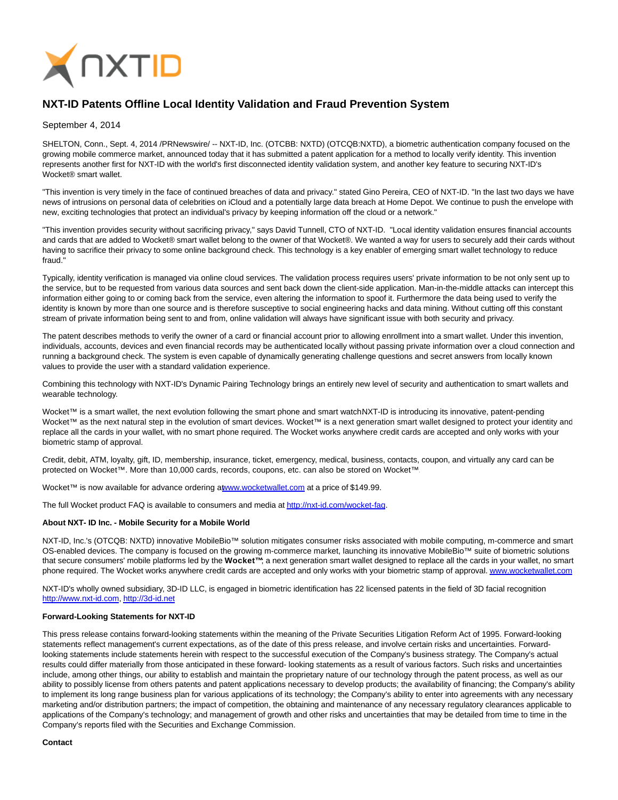

# **NXT-ID Patents Offline Local Identity Validation and Fraud Prevention System**

### September 4, 2014

SHELTON, Conn., Sept. 4, 2014 /PRNewswire/ -- NXT-ID, Inc. (OTCBB: NXTD) (OTCQB:NXTD), a biometric authentication company focused on the growing mobile commerce market, announced today that it has submitted a patent application for a method to locally verify identity. This invention represents another first for NXT-ID with the world's first disconnected identity validation system, and another key feature to securing NXT-ID's Wocket® smart wallet.

"This invention is very timely in the face of continued breaches of data and privacy." stated Gino Pereira, CEO of NXT-ID. "In the last two days we have news of intrusions on personal data of celebrities on iCloud and a potentially large data breach at Home Depot. We continue to push the envelope with new, exciting technologies that protect an individual's privacy by keeping information off the cloud or a network."

"This invention provides security without sacrificing privacy," says David Tunnell, CTO of NXT-ID. "Local identity validation ensures financial accounts and cards that are added to Wocket® smart wallet belong to the owner of that Wocket®. We wanted a way for users to securely add their cards without having to sacrifice their privacy to some online background check. This technology is a key enabler of emerging smart wallet technology to reduce fraud."

Typically, identity verification is managed via online cloud services. The validation process requires users' private information to be not only sent up to the service, but to be requested from various data sources and sent back down the client-side application. Man-in-the-middle attacks can intercept this information either going to or coming back from the service, even altering the information to spoof it. Furthermore the data being used to verify the identity is known by more than one source and is therefore susceptive to social engineering hacks and data mining. Without cutting off this constant stream of private information being sent to and from, online validation will always have significant issue with both security and privacy.

The patent describes methods to verify the owner of a card or financial account prior to allowing enrollment into a smart wallet. Under this invention, individuals, accounts, devices and even financial records may be authenticated locally without passing private information over a cloud connection and running a background check. The system is even capable of dynamically generating challenge questions and secret answers from locally known values to provide the user with a standard validation experience.

Combining this technology with NXT-ID's Dynamic Pairing Technology brings an entirely new level of security and authentication to smart wallets and wearable technology.

Wocket™ is a smart wallet, the next evolution following the smart phone and smart watchNXT-ID is introducing its innovative, patent-pending Wocket™ as the next natural step in the evolution of smart devices. Wocket™ is a next generation smart wallet designed to protect your identity and replace all the cards in your wallet, with no smart phone required. The Wocket works anywhere credit cards are accepted and only works with your biometric stamp of approval.

Credit, debit, ATM, loyalty, gift, ID, membership, insurance, ticket, emergency, medical, business, contacts, coupon, and virtually any card can be protected on Wocket™. More than 10,000 cards, records, coupons, etc. can also be stored on Wocket™.

Wocket™ is now available for advance ordering [at www.wocketwallet.com a](http://www.wocketwallet.com/)t a price of \$149.99.

The full Wocket product FAQ is available to consumers and media a[t http://nxt-id.com/wocket-faq.](http://nxt-id.com/wocket-faq)

#### **About NXT- ID Inc. - Mobile Security for a Mobile World**

NXT-ID, Inc.'s (OTCQB: NXTD) innovative MobileBio™ solution mitigates consumer risks associated with mobile computing, m-commerce and smart OS-enabled devices. The company is focused on the growing m-commerce market, launching its innovative MobileBio™ suite of biometric solutions that secure consumers' mobile platforms led by the **Wocket™**; a next generation smart wallet designed to replace all the cards in your wallet, no smart phone required. The Wocket works anywhere credit cards are accepted and only works with your biometric stamp of approval[. www.wocketwallet.com](http://www.wocketwallet.com/)

NXT-ID's wholly owned subsidiary, 3D-ID LLC, is engaged in biometric identification has 22 licensed patents in the field of 3D facial recognition [http://www.nxt-id.com,](http://www.nxt-id.com/) [http://3d-id.net](http://3d-id.net/)

## **Forward-Looking Statements for NXT-ID**

This press release contains forward-looking statements within the meaning of the Private Securities Litigation Reform Act of 1995. Forward-looking statements reflect management's current expectations, as of the date of this press release, and involve certain risks and uncertainties. Forwardlooking statements include statements herein with respect to the successful execution of the Company's business strategy. The Company's actual results could differ materially from those anticipated in these forward- looking statements as a result of various factors. Such risks and uncertainties include, among other things, our ability to establish and maintain the proprietary nature of our technology through the patent process, as well as our ability to possibly license from others patents and patent applications necessary to develop products; the availability of financing; the Company's ability to implement its long range business plan for various applications of its technology; the Company's ability to enter into agreements with any necessary marketing and/or distribution partners; the impact of competition, the obtaining and maintenance of any necessary regulatory clearances applicable to applications of the Company's technology; and management of growth and other risks and uncertainties that may be detailed from time to time in the Company's reports filed with the Securities and Exchange Commission.

#### **Contact**